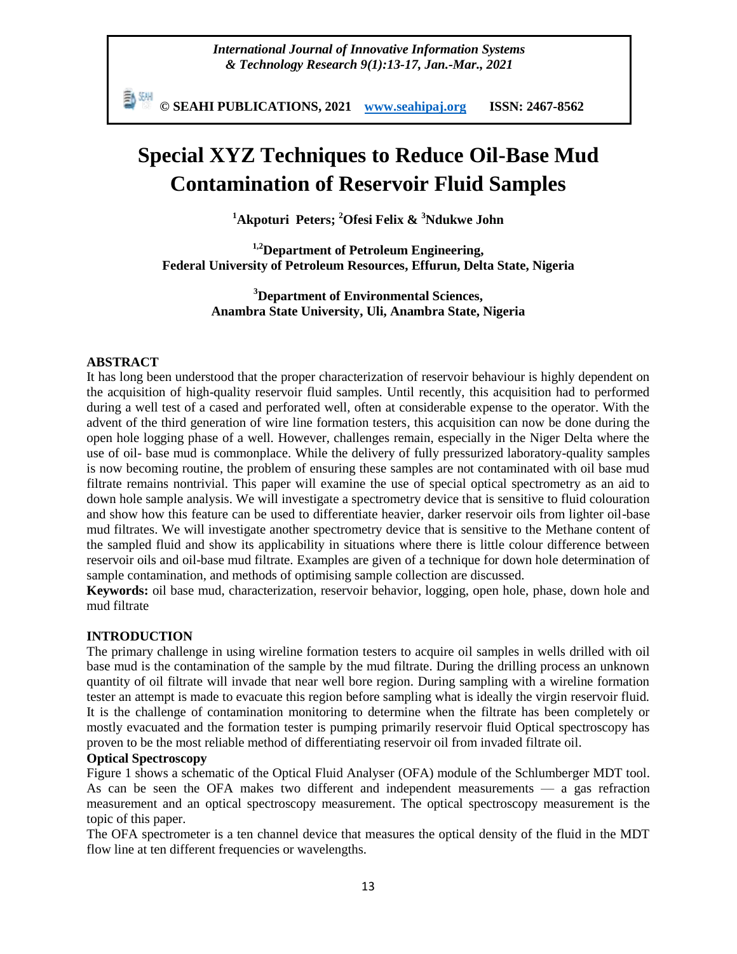*International Journal of Innovative Information Systems & Technology Research 9(1):13-17, Jan.-Mar., 2021*

勤細 **© SEAHI PUBLICATIONS, 2021 [www.seahipaj.org](http://www.seahipaj.org/) ISSN: 2467-8562**

# **Special XYZ Techniques to Reduce Oil-Base Mud Contamination of Reservoir Fluid Samples**

**<sup>1</sup>Akpoturi Peters; <sup>2</sup>Ofesi Felix & <sup>3</sup>Ndukwe John**

**1,2Department of Petroleum Engineering, Federal University of Petroleum Resources, Effurun, Delta State, Nigeria**

> **<sup>3</sup>Department of Environmental Sciences, Anambra State University, Uli, Anambra State, Nigeria**

#### **ABSTRACT**

It has long been understood that the proper characterization of reservoir behaviour is highly dependent on the acquisition of high-quality reservoir fluid samples. Until recently, this acquisition had to performed during a well test of a cased and perforated well, often at considerable expense to the operator. With the advent of the third generation of wire line formation testers, this acquisition can now be done during the open hole logging phase of a well. However, challenges remain, especially in the Niger Delta where the use of oil- base mud is commonplace. While the delivery of fully pressurized laboratory-quality samples is now becoming routine, the problem of ensuring these samples are not contaminated with oil base mud filtrate remains nontrivial. This paper will examine the use of special optical spectrometry as an aid to down hole sample analysis. We will investigate a spectrometry device that is sensitive to fluid colouration and show how this feature can be used to differentiate heavier, darker reservoir oils from lighter oil-base mud filtrates. We will investigate another spectrometry device that is sensitive to the Methane content of the sampled fluid and show its applicability in situations where there is little colour difference between reservoir oils and oil-base mud filtrate. Examples are given of a technique for down hole determination of sample contamination, and methods of optimising sample collection are discussed.

**Keywords:** oil base mud, characterization, reservoir behavior, logging, open hole, phase, down hole and mud filtrate

#### **INTRODUCTION**

The primary challenge in using wireline formation testers to acquire oil samples in wells drilled with oil base mud is the contamination of the sample by the mud filtrate. During the drilling process an unknown quantity of oil filtrate will invade that near well bore region. During sampling with a wireline formation tester an attempt is made to evacuate this region before sampling what is ideally the virgin reservoir fluid. It is the challenge of contamination monitoring to determine when the filtrate has been completely or mostly evacuated and the formation tester is pumping primarily reservoir fluid Optical spectroscopy has proven to be the most reliable method of differentiating reservoir oil from invaded filtrate oil.

#### **Optical Spectroscopy**

Figure 1 shows a schematic of the Optical Fluid Analyser (OFA) module of the Schlumberger MDT tool. As can be seen the OFA makes two different and independent measurements — a gas refraction measurement and an optical spectroscopy measurement. The optical spectroscopy measurement is the topic of this paper.

The OFA spectrometer is a ten channel device that measures the optical density of the fluid in the MDT flow line at ten different frequencies or wavelengths.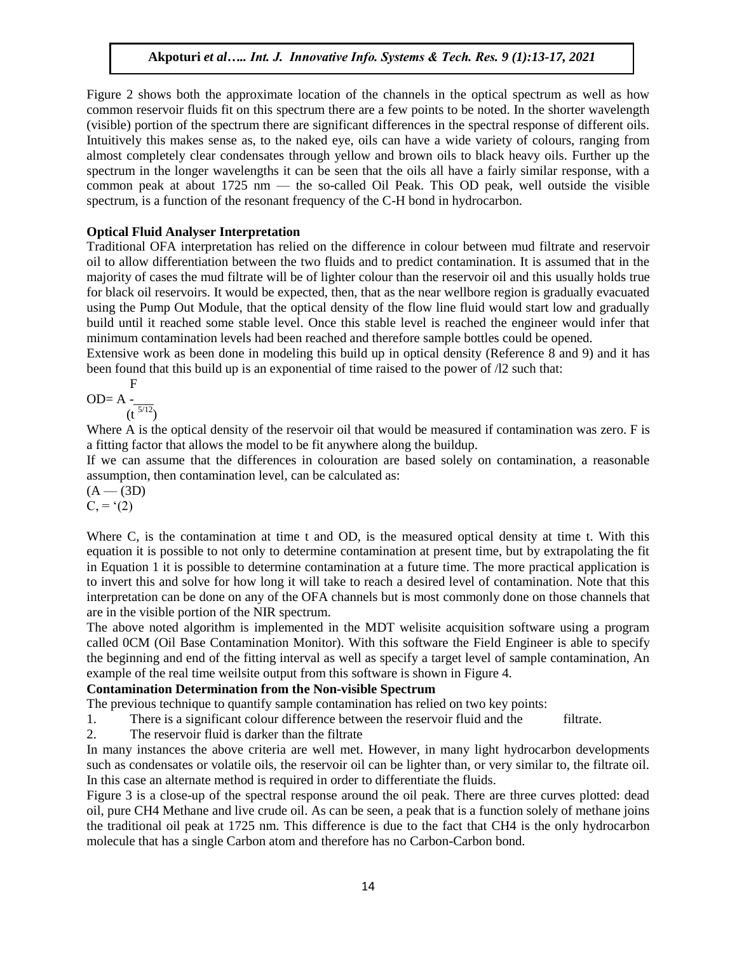Figure 2 shows both the approximate location of the channels in the optical spectrum as well as how common reservoir fluids fit on this spectrum there are a few points to be noted. In the shorter wavelength (visible) portion of the spectrum there are significant differences in the spectral response of different oils. Intuitively this makes sense as, to the naked eye, oils can have a wide variety of colours, ranging from almost completely clear condensates through yellow and brown oils to black heavy oils. Further up the spectrum in the longer wavelengths it can be seen that the oils all have a fairly similar response, with a common peak at about 1725 nm — the so-called Oil Peak. This OD peak, well outside the visible spectrum, is a function of the resonant frequency of the C-H bond in hydrocarbon.

## **Optical Fluid Analyser Interpretation**

Traditional OFA interpretation has relied on the difference in colour between mud filtrate and reservoir oil to allow differentiation between the two fluids and to predict contamination. It is assumed that in the majority of cases the mud filtrate will be of lighter colour than the reservoir oil and this usually holds true for black oil reservoirs. It would be expected, then, that as the near wellbore region is gradually evacuated using the Pump Out Module, that the optical density of the flow line fluid would start low and gradually build until it reached some stable level. Once this stable level is reached the engineer would infer that minimum contamination levels had been reached and therefore sample bottles could be opened.

Extensive work as been done in modeling this build up in optical density (Reference 8 and 9) and it has been found that this build up is an exponential of time raised to the power of /l2 such that:

$$
OD = A \cdot \frac{F}{(t^{5/12})}
$$

Where A is the optical density of the reservoir oil that would be measured if contamination was zero. F is a fitting factor that allows the model to be fit anywhere along the buildup.

If we can assume that the differences in colouration are based solely on contamination, a reasonable assumption, then contamination level, can be calculated as:

 $(A - (3D))$  $C = (2)$ 

Where C, is the contamination at time t and OD, is the measured optical density at time t. With this equation it is possible to not only to determine contamination at present time, but by extrapolating the fit in Equation 1 it is possible to determine contamination at a future time. The more practical application is to invert this and solve for how long it will take to reach a desired level of contamination. Note that this interpretation can be done on any of the OFA channels but is most commonly done on those channels that are in the visible portion of the NIR spectrum.

The above noted algorithm is implemented in the MDT welisite acquisition software using a program called 0CM (Oil Base Contamination Monitor). With this software the Field Engineer is able to specify the beginning and end of the fitting interval as well as specify a target level of sample contamination, An example of the real time weilsite output from this software is shown in Figure 4.

#### **Contamination Determination from the Non-visible Spectrum**

The previous technique to quantify sample contamination has relied on two key points:

1. There is a significant colour difference between the reservoir fluid and the filtrate.

2. The reservoir fluid is darker than the filtrate

In many instances the above criteria are well met. However, in many light hydrocarbon developments such as condensates or volatile oils, the reservoir oil can be lighter than, or very similar to, the filtrate oil. In this case an alternate method is required in order to differentiate the fluids.

Figure 3 is a close-up of the spectral response around the oil peak. There are three curves plotted: dead oil, pure CH4 Methane and live crude oil. As can be seen, a peak that is a function solely of methane joins the traditional oil peak at 1725 nm. This difference is due to the fact that CH4 is the only hydrocarbon molecule that has a single Carbon atom and therefore has no Carbon-Carbon bond.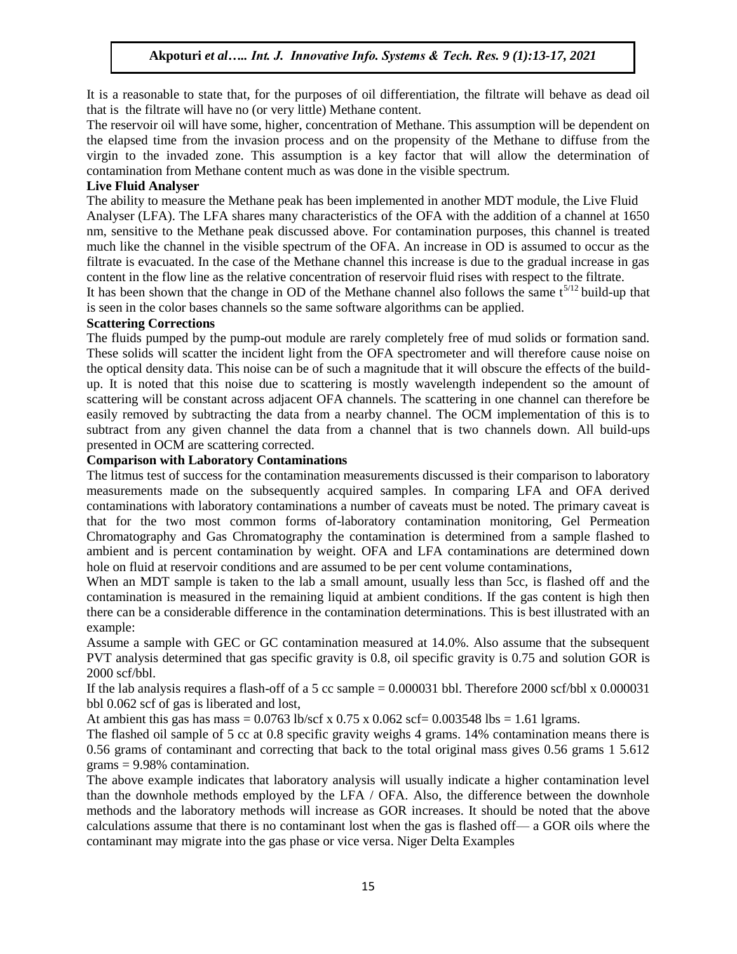It is a reasonable to state that, for the purposes of oil differentiation, the filtrate will behave as dead oil that is the filtrate will have no (or very little) Methane content.

The reservoir oil will have some, higher, concentration of Methane. This assumption will be dependent on the elapsed time from the invasion process and on the propensity of the Methane to diffuse from the virgin to the invaded zone. This assumption is a key factor that will allow the determination of contamination from Methane content much as was done in the visible spectrum.

#### **Live Fluid Analyser**

The ability to measure the Methane peak has been implemented in another MDT module, the Live Fluid Analyser (LFA). The LFA shares many characteristics of the OFA with the addition of a channel at 1650 nm, sensitive to the Methane peak discussed above. For contamination purposes, this channel is treated much like the channel in the visible spectrum of the OFA. An increase in OD is assumed to occur as the filtrate is evacuated. In the case of the Methane channel this increase is due to the gradual increase in gas content in the flow line as the relative concentration of reservoir fluid rises with respect to the filtrate.

It has been shown that the change in OD of the Methane channel also follows the same  $t^{5/12}$  build-up that is seen in the color bases channels so the same software algorithms can be applied.

#### **Scattering Corrections**

The fluids pumped by the pump-out module are rarely completely free of mud solids or formation sand. These solids will scatter the incident light from the OFA spectrometer and will therefore cause noise on the optical density data. This noise can be of such a magnitude that it will obscure the effects of the buildup. It is noted that this noise due to scattering is mostly wavelength independent so the amount of scattering will be constant across adjacent OFA channels. The scattering in one channel can therefore be easily removed by subtracting the data from a nearby channel. The OCM implementation of this is to subtract from any given channel the data from a channel that is two channels down. All build-ups presented in OCM are scattering corrected.

#### **Comparison with Laboratory Contaminations**

The litmus test of success for the contamination measurements discussed is their comparison to laboratory measurements made on the subsequently acquired samples. In comparing LFA and OFA derived contaminations with laboratory contaminations a number of caveats must be noted. The primary caveat is that for the two most common forms of-laboratory contamination monitoring, Gel Permeation Chromatography and Gas Chromatography the contamination is determined from a sample flashed to ambient and is percent contamination by weight. OFA and LFA contaminations are determined down hole on fluid at reservoir conditions and are assumed to be per cent volume contaminations,

When an MDT sample is taken to the lab a small amount, usually less than 5cc, is flashed off and the contamination is measured in the remaining liquid at ambient conditions. If the gas content is high then there can be a considerable difference in the contamination determinations. This is best illustrated with an example:

Assume a sample with GEC or GC contamination measured at 14.0%. Also assume that the subsequent PVT analysis determined that gas specific gravity is 0.8, oil specific gravity is 0.75 and solution GOR is 2000 scf/bbl.

If the lab analysis requires a flash-off of a 5 cc sample  $= 0.000031$  bbl. Therefore 2000 scf/bbl x 0.000031 bbl 0.062 scf of gas is liberated and lost,

At ambient this gas has mass =  $0.0763$  lb/scf x  $0.75$  x  $0.062$  scf=  $0.003548$  lbs = 1.61 lgrams.

The flashed oil sample of 5 cc at 0.8 specific gravity weighs 4 grams. 14% contamination means there is 0.56 grams of contaminant and correcting that back to the total original mass gives 0.56 grams 1 5.612 grams = 9.98% contamination.

The above example indicates that laboratory analysis will usually indicate a higher contamination level than the downhole methods employed by the LFA / OFA. Also, the difference between the downhole methods and the laboratory methods will increase as GOR increases. It should be noted that the above calculations assume that there is no contaminant lost when the gas is flashed off— a GOR oils where the contaminant may migrate into the gas phase or vice versa. Niger Delta Examples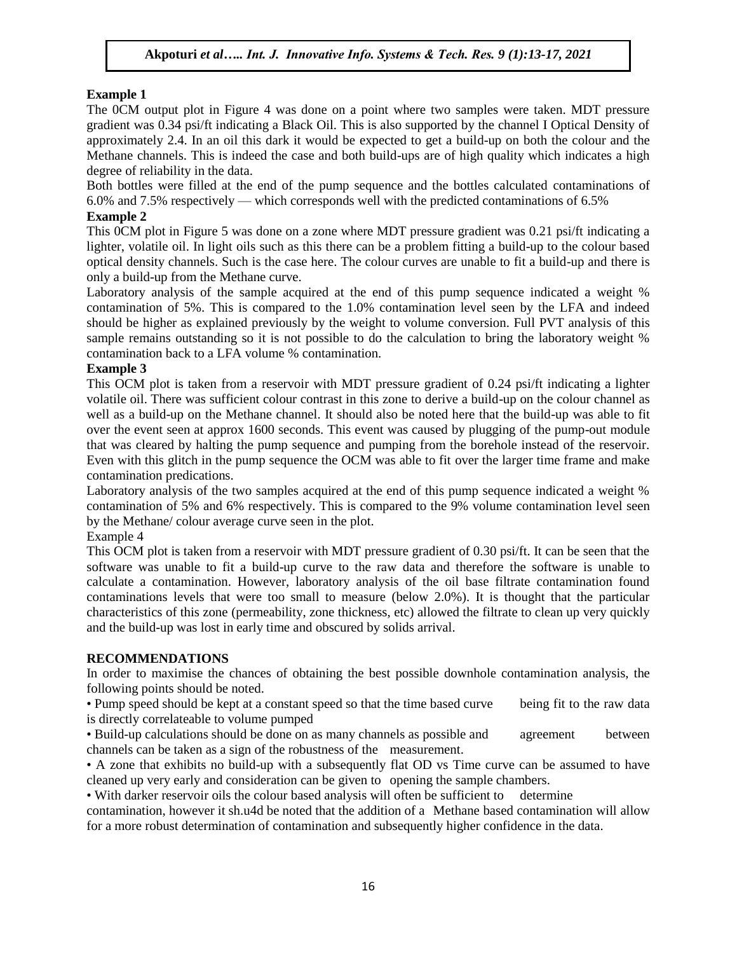#### **Example 1**

The 0CM output plot in Figure 4 was done on a point where two samples were taken. MDT pressure gradient was 0.34 psi/ft indicating a Black Oil. This is also supported by the channel I Optical Density of approximately 2.4. In an oil this dark it would be expected to get a build-up on both the colour and the Methane channels. This is indeed the case and both build-ups are of high quality which indicates a high degree of reliability in the data.

Both bottles were filled at the end of the pump sequence and the bottles calculated contaminations of 6.0% and 7.5% respectively — which corresponds well with the predicted contaminations of 6.5%

### **Example 2**

This 0CM plot in Figure 5 was done on a zone where MDT pressure gradient was 0.21 psi/ft indicating a lighter, volatile oil. In light oils such as this there can be a problem fitting a build-up to the colour based optical density channels. Such is the case here. The colour curves are unable to fit a build-up and there is only a build-up from the Methane curve.

Laboratory analysis of the sample acquired at the end of this pump sequence indicated a weight % contamination of 5%. This is compared to the 1.0% contamination level seen by the LFA and indeed should be higher as explained previously by the weight to volume conversion. Full PVT analysis of this sample remains outstanding so it is not possible to do the calculation to bring the laboratory weight % contamination back to a LFA volume % contamination.

#### **Example 3**

This OCM plot is taken from a reservoir with MDT pressure gradient of 0.24 psi/ft indicating a lighter volatile oil. There was sufficient colour contrast in this zone to derive a build-up on the colour channel as well as a build-up on the Methane channel. It should also be noted here that the build-up was able to fit over the event seen at approx 1600 seconds. This event was caused by plugging of the pump-out module that was cleared by halting the pump sequence and pumping from the borehole instead of the reservoir. Even with this glitch in the pump sequence the OCM was able to fit over the larger time frame and make contamination predications.

Laboratory analysis of the two samples acquired at the end of this pump sequence indicated a weight % contamination of 5% and 6% respectively. This is compared to the 9% volume contamination level seen by the Methane/ colour average curve seen in the plot.

Example 4

This OCM plot is taken from a reservoir with MDT pressure gradient of 0.30 psi/ft. It can be seen that the software was unable to fit a build-up curve to the raw data and therefore the software is unable to calculate a contamination. However, laboratory analysis of the oil base filtrate contamination found contaminations levels that were too small to measure (below 2.0%). It is thought that the particular characteristics of this zone (permeability, zone thickness, etc) allowed the filtrate to clean up very quickly and the build-up was lost in early time and obscured by solids arrival.

#### **RECOMMENDATIONS**

In order to maximise the chances of obtaining the best possible downhole contamination analysis, the following points should be noted.

• Pump speed should be kept at a constant speed so that the time based curve being fit to the raw data is directly correlateable to volume pumped

• Build-up calculations should be done on as many channels as possible and agreement between channels can be taken as a sign of the robustness of the measurement.

• A zone that exhibits no build-up with a subsequently flat OD vs Time curve can be assumed to have cleaned up very early and consideration can be given to opening the sample chambers.

• With darker reservoir oils the colour based analysis will often be sufficient to determine

contamination, however it sh.u4d be noted that the addition of a Methane based contamination will allow for a more robust determination of contamination and subsequently higher confidence in the data.